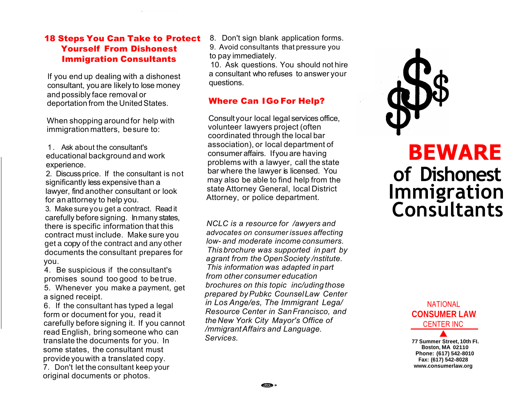#### 18 Steps You Can Take to Protect Yourself From Dishonest Immigration Consultants

lf you end up dealing with a dishonest consultant, you are likely to lose money and possibly face removal or deportation from the United States.

When shopping around for help with immigration matters, besure to:

1. Ask about the consultant's educational background and work experience.

2. Discuss price. If the consultant is not significantly less expensive than a lawyer, find another consultant or look for an attorney to help you.

3. Make sureyou get a contract. Read it carefully before signing. Inmany states, there is specific information that this contract must include. Make sure you get a copy of the contract and any other documents the consultant prepares for you.

4. Be suspicious if the consultant's promises sound too good to be true.

5. Whenever you make a payment, get a signed receipt.

6. If the consultant has typed a legal form or document for you, read it carefully before signing it. If you cannot read English, bring someone who can translate the documents for you. In some states, the consultant must provide youwith a translated copy. 7. Don't let the consultant keep your original documents or photos.

8. Don't sign blank application forms. 9. Avoid consultants that pressure you to pay immediately.

10. Ask questions. You should not hire a consultant who refuses to answer your questions.

# Where Can IGo For Help?

Consult your local legal services office, volunteer lawyers project (often coordinated through the local bar association), or local department of consumer affairs. Ifyou are having problems with a lawyer, call the state bar where the lawyer is licensed. You may also be able to find help from the state Attorney General, local District Attorney, or police department.

*NCLC is a resource for /awyers and advocates on consumer issues affecting low- and moderate income consumers. This brochure was supported in part by agrant from the OpenSociety /nstitute. This information was adapted in part from other consumer education brochures on this topic inc/uding those prepared byPubkc CounselLaw Center in Los Ange/es, The Immigrant Lega/ Resource Center in SanFrancisco, and the New York City Mayor's Office of /mmigrant Affairs and Language. Services.* 



# **BEWARE of Dishonest Immigration Consultants**